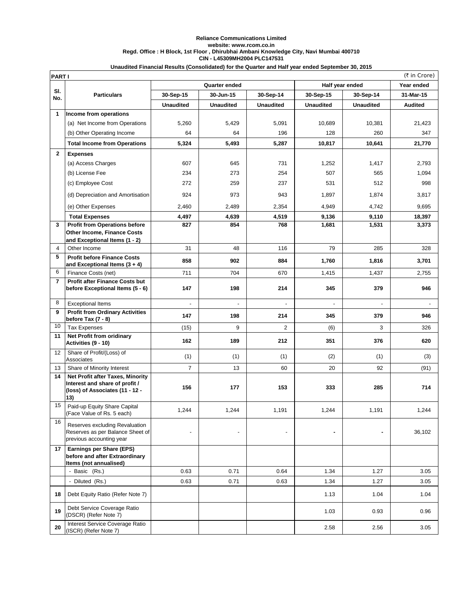## **Reliance Communications Limited website: www.rcom.co.in Regd. Office : H Block, 1st Floor , Dhirubhai Ambani Knowledge City, Navi Mumbai 400710 CIN - L45309MH2004 PLC147531**

## **Unaudited Financial Results (Consolidated) for the Quarter and Half year ended September 30, 2015**

|                | (₹ in Crore)<br><b>PART I</b>                                                                                |                  |                  |                  |                  |                  |                |  |
|----------------|--------------------------------------------------------------------------------------------------------------|------------------|------------------|------------------|------------------|------------------|----------------|--|
|                |                                                                                                              | Quarter ended    |                  |                  | Half year ended  |                  | Year ended     |  |
| SI.<br>No.     | <b>Particulars</b>                                                                                           | 30-Sep-15        | 30-Jun-15        | 30-Sep-14        | 30-Sep-15        | 30-Sep-14        | 31-Mar-15      |  |
|                |                                                                                                              | <b>Unaudited</b> | <b>Unaudited</b> | <b>Unaudited</b> | <b>Unaudited</b> | <b>Unaudited</b> | <b>Audited</b> |  |
| 1              | Income from operations                                                                                       |                  |                  |                  |                  |                  |                |  |
|                | (a) Net Income from Operations                                                                               | 5,260            | 5,429            | 5,091            | 10.689           | 10,381           | 21,423         |  |
|                | (b) Other Operating Income                                                                                   | 64               | 64               | 196              | 128              | 260              | 347            |  |
|                | <b>Total Income from Operations</b>                                                                          | 5,324            | 5,493            | 5,287            | 10,817           | 10,641           | 21,770         |  |
| $\mathbf{2}$   | <b>Expenses</b>                                                                                              |                  |                  |                  |                  |                  |                |  |
|                | (a) Access Charges                                                                                           | 607              | 645              | 731              | 1,252            | 1,417            | 2,793          |  |
|                | (b) License Fee                                                                                              | 234              | 273              | 254              | 507              | 565              | 1,094          |  |
|                | (c) Employee Cost                                                                                            | 272              | 259              | 237              | 531              | 512              | 998            |  |
|                | (d) Depreciation and Amortisation                                                                            | 924              | 973              | 943              | 1,897            | 1,874            | 3,817          |  |
|                | (e) Other Expenses                                                                                           | 2,460            | 2,489            | 2,354            | 4,949            | 4,742            | 9,695          |  |
|                | <b>Total Expenses</b>                                                                                        | 4,497            | 4,639            | 4,519            | 9,136            | 9,110            | 18,397         |  |
| 3              | <b>Profit from Operations before</b>                                                                         | 827              | 854              | 768              | 1,681            | 1,531            | 3,373          |  |
|                | Other Income, Finance Costs                                                                                  |                  |                  |                  |                  |                  |                |  |
| 4              | and Exceptional Items (1 - 2)<br>Other Income                                                                | 31               | 48               | 116              | 79               | 285              | 328            |  |
| 5              | <b>Profit before Finance Costs</b>                                                                           |                  |                  |                  |                  |                  |                |  |
|                | and Exceptional Items (3 + 4)                                                                                | 858              | 902              | 884              | 1,760            | 1,816            | 3,701          |  |
| 6              | Finance Costs (net)                                                                                          | 711              | 704              | 670              | 1,415            | 1,437            | 2,755          |  |
| $\overline{7}$ | <b>Profit after Finance Costs but</b><br>before Exceptional Items (5 - 6)                                    | 147              | 198              | 214              | 345              | 379              | 946            |  |
| 8              |                                                                                                              |                  |                  |                  |                  |                  |                |  |
| 9              | <b>Exceptional Items</b><br><b>Profit from Ordinary Activities</b>                                           |                  |                  |                  |                  |                  |                |  |
|                | before Tax (7 - 8)                                                                                           | 147              | 198              | 214              | 345              | 379              | 946            |  |
| 10             | <b>Tax Expenses</b>                                                                                          | (15)             | 9                | $\overline{2}$   | (6)              | 3                | 326            |  |
| 11             | Net Profit from oridinary<br>Activities (9 - 10)                                                             | 162              | 189              | 212              | 351              | 376              | 620            |  |
| 12             | Share of Profit/(Loss) of<br>Associates                                                                      | (1)              | (1)              | (1)              | (2)              | (1)              | (3)            |  |
| 13             | Share of Minority Interest                                                                                   | $\overline{7}$   | 13               | 60               | 20               | 92               | (91)           |  |
| 14             | Net Profit after Taxes, Minority<br>Interest and share of profit /<br>(loss) of Associates (11 - 12 -<br>13) | 156              | 177              | 153              | 333              | 285              | 714            |  |
| 15             | Paid-up Equity Share Capital<br>(Face Value of Rs. 5 each)                                                   | 1,244            | 1,244            | 1,191            | 1,244            | 1,191            | 1,244          |  |
| 16             | Reserves excluding Revaluation<br>Reserves as per Balance Sheet of<br>previous accounting year               |                  |                  |                  |                  |                  | 36,102         |  |
| 17             | Earnings per Share (EPS)<br>before and after Extraordinary<br>Items (not annualised)                         |                  |                  |                  |                  |                  |                |  |
|                | - Basic (Rs.)                                                                                                | 0.63             | 0.71             | 0.64             | 1.34             | 1.27             | 3.05           |  |
|                | - Diluted (Rs.)                                                                                              | 0.63             | 0.71             | 0.63             | 1.34             | 1.27             | 3.05           |  |
| 18             | Debt Equity Ratio (Refer Note 7)                                                                             |                  |                  |                  | 1.13             | 1.04             | 1.04           |  |
| 19             | Debt Service Coverage Ratio<br>(DSCR) (Refer Note 7)                                                         |                  |                  |                  | 1.03             | 0.93             | 0.96           |  |
| 20             | Interest Service Coverage Ratio<br>(ISCR) (Refer Note 7)                                                     |                  |                  |                  | 2.58             | 2.56             | 3.05           |  |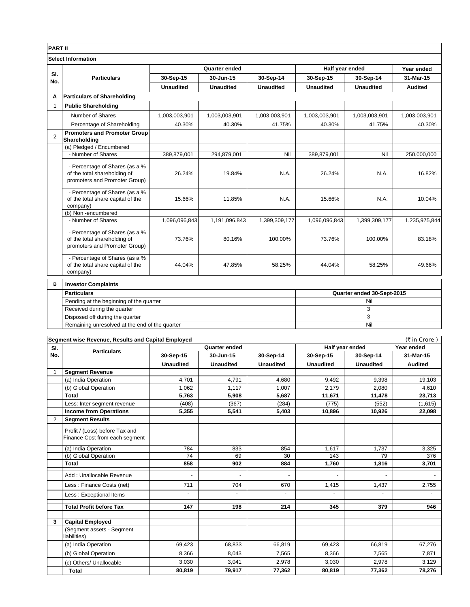| <b>PART II</b> |                                                                                                 |                  |                            |                  |                                               |                            |                |  |
|----------------|-------------------------------------------------------------------------------------------------|------------------|----------------------------|------------------|-----------------------------------------------|----------------------------|----------------|--|
|                | <b>Select Information</b>                                                                       |                  |                            |                  |                                               |                            |                |  |
|                |                                                                                                 | Quarter ended    |                            |                  | Half year ended                               |                            | Year ended     |  |
| SI.            | <b>Particulars</b>                                                                              | 30-Sep-15        | 30-Jun-15                  | 30-Sep-14        | 30-Sep-15                                     | 30-Sep-14                  | 31-Mar-15      |  |
| No.            |                                                                                                 | <b>Unaudited</b> | <b>Unaudited</b>           | <b>Unaudited</b> | <b>Unaudited</b>                              | <b>Unaudited</b>           | <b>Audited</b> |  |
| A              | <b>Particulars of Shareholding</b>                                                              |                  |                            |                  |                                               |                            |                |  |
| 1              | <b>Public Shareholding</b>                                                                      |                  |                            |                  |                                               |                            |                |  |
|                | Number of Shares                                                                                | 1,003,003,901    | 1,003,003,901              | 1,003,003,901    | 1,003,003,901                                 | 1,003,003,901              | 1,003,003,901  |  |
|                | Percentage of Shareholding                                                                      | 40.30%           | 40.30%                     | 41.75%           | 40.30%                                        | 41.75%                     | 40.30%         |  |
|                | <b>Promoters and Promoter Group</b>                                                             |                  |                            |                  |                                               |                            |                |  |
| 2              | Shareholding                                                                                    |                  |                            |                  |                                               |                            |                |  |
|                | (a) Pledged / Encumbered                                                                        |                  |                            |                  |                                               |                            |                |  |
|                | - Number of Shares                                                                              | 389,879,001      | 294.879.001                | Nil              | 389,879,001                                   | Nil                        | 250,000,000    |  |
|                | - Percentage of Shares (as a %<br>of the total shareholding of<br>promoters and Promoter Group) | 26.24%           | 19.84%                     | N.A.             | 26.24%                                        | N.A.                       | 16.82%         |  |
|                | - Percentage of Shares (as a %<br>of the total share capital of the<br>company)                 | 15.66%           | 11.85%                     | N.A.             | 15.66%                                        | N.A.                       | 10.04%         |  |
|                | (b) Non-encumbered<br>- Number of Shares                                                        |                  |                            |                  |                                               |                            |                |  |
|                |                                                                                                 | 1,096,096,843    | 1,191,096,843              | 1,399,309,177    | 1,096,096,843                                 | 1,399,309,177              | 1,235,975,844  |  |
|                | - Percentage of Shares (as a %<br>of the total shareholding of<br>promoters and Promoter Group) | 73.76%           | 80.16%                     | 100.00%          | 73.76%                                        | 100.00%                    | 83.18%         |  |
|                | - Percentage of Shares (as a %<br>of the total share capital of the<br>company)                 | 44.04%           | 47.85%                     | 58.25%           | 44.04%                                        | 58.25%                     | 49.66%         |  |
| B              | <b>Investor Complaints</b>                                                                      |                  |                            |                  |                                               |                            |                |  |
|                | <b>Particulars</b>                                                                              |                  |                            |                  |                                               | Quarter ended 30-Sept-2015 |                |  |
|                | Pending at the beginning of the quarter                                                         |                  |                            |                  | Nil                                           |                            |                |  |
|                | Received during the quarter                                                                     |                  |                            |                  | $\mathsf 3$                                   |                            |                |  |
|                | Disposed off during the quarter                                                                 |                  |                            |                  | 3                                             |                            |                |  |
|                | Remaining unresolved at the end of the quarter                                                  |                  |                            |                  |                                               | Nil                        |                |  |
|                |                                                                                                 |                  |                            |                  |                                               |                            |                |  |
|                | Segment wise Revenue, Results and Capital Employed                                              |                  |                            |                  | (₹ in Crore)<br>Half year ended<br>Year ended |                            |                |  |
| SI.<br>No.     | <b>Particulars</b>                                                                              | 30-Sep-15        | Quarter ended<br>30-Jun-15 | 30-Sep-14        | 30-Sep-15                                     | 30-Sep-14                  | 31-Mar-15      |  |
|                |                                                                                                 | <b>Unaudited</b> | <b>Unaudited</b>           | <b>Unaudited</b> | <b>Unaudited</b>                              | <b>Unaudited</b>           | <b>Audited</b> |  |
| 1              | <b>Segment Revenue</b>                                                                          |                  |                            |                  |                                               |                            |                |  |
|                | (a) India Operation                                                                             | 4,701            | 4,791                      | 4,680            | 9,492                                         | 9,398                      | 19,103         |  |
|                | (b) Global Operation                                                                            | 1,062            | 1,117                      | 1,007            | 2,179                                         | 2,080                      | 4,610          |  |
|                | Total                                                                                           | 5,763            | 5,908                      | 5,687            | 11,671                                        | 11,478                     | 23,713         |  |
|                | Less: Inter segment revenue                                                                     | (408)            | (367)                      | (284)            | (775)                                         | (552)                      | (1,615)        |  |
|                | <b>Income from Operations</b>                                                                   | 5,355            | 5,541                      | 5,403            | 10,896                                        | 10,926                     | 22,098         |  |
| $\overline{c}$ | <b>Segment Results</b>                                                                          |                  |                            |                  |                                               |                            |                |  |
|                | Profit / (Loss) before Tax and                                                                  |                  |                            |                  |                                               |                            |                |  |

|   | Profit / (Loss) before Tax and            |                          |                          |                          |                          |                          |        |
|---|-------------------------------------------|--------------------------|--------------------------|--------------------------|--------------------------|--------------------------|--------|
|   | Finance Cost from each segment            |                          |                          |                          |                          |                          |        |
|   | (a) India Operation                       | 784                      | 833                      | 854                      | 1.617                    | 1,737                    | 3,325  |
|   | (b) Global Operation                      | 74                       | 69                       | 30                       | 143                      | 79                       | 376    |
|   | <b>Total</b>                              | 858                      | 902                      | 884                      | 1,760                    | 1,816                    | 3,701  |
|   | Add: Unallocable Revenue                  | ۰                        | $\blacksquare$           | $\blacksquare$           | $\overline{\phantom{a}}$ | $\overline{\phantom{a}}$ |        |
|   | Less: Finance Costs (net)                 | 711                      | 704                      | 670                      | 1,415                    | 1,437                    | 2,755  |
|   | Less: Exceptional Items                   | $\overline{\phantom{a}}$ | $\overline{\phantom{a}}$ | $\overline{\phantom{a}}$ | $\overline{\phantom{a}}$ | $\overline{\phantom{a}}$ |        |
|   |                                           |                          |                          |                          |                          |                          |        |
|   | <b>Total Profit before Tax</b>            | 147                      | 198                      | 214                      | 345                      | 379                      | 946    |
| 3 | <b>Capital Employed</b>                   |                          |                          |                          |                          |                          |        |
|   | (Segment assets - Segment<br>liabilities) |                          |                          |                          |                          |                          |        |
|   | (a) India Operation                       | 69,423                   | 68,833                   | 66,819                   | 69,423                   | 66,819                   | 67,276 |
|   | (b) Global Operation                      | 8,366                    | 8,043                    | 7,565                    | 8,366                    | 7,565                    | 7,871  |
|   | (c) Others/ Unallocable                   | 3,030                    | 3,041                    | 2,978                    | 3,030                    | 2,978                    | 3,129  |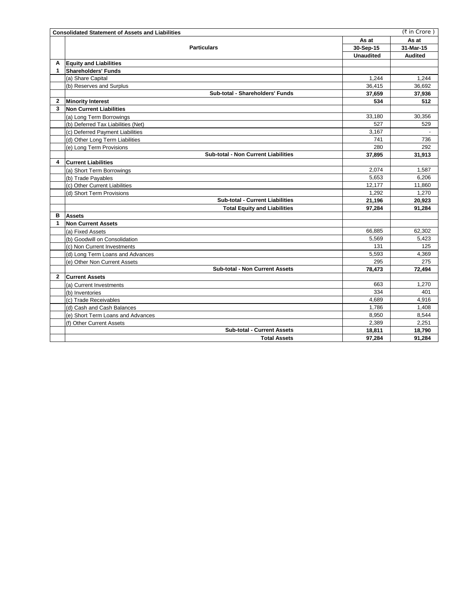|              | <b>Consolidated Statement of Assets and Liabilities</b> |                  | (₹ in Crore)   |
|--------------|---------------------------------------------------------|------------------|----------------|
|              |                                                         | As at            | As at          |
|              | <b>Particulars</b>                                      | 30-Sep-15        | 31-Mar-15      |
|              |                                                         | <b>Unaudited</b> | <b>Audited</b> |
| A            | <b>Equity and Liabilities</b>                           |                  |                |
| 1            | <b>Shareholders' Funds</b>                              |                  |                |
|              | (a) Share Capital                                       | 1,244            | 1,244          |
|              | (b) Reserves and Surplus                                | 36,415           | 36,692         |
|              | Sub-total - Shareholders' Funds                         | 37,659           | 37,936         |
| 2            | <b>Minority Interest</b>                                | 534              | 512            |
| 3            | <b>Non Current Liabilities</b>                          |                  |                |
|              | (a) Long Term Borrowings                                | 33,180           | 30,356         |
|              | (b) Deferred Tax Liabilities (Net)                      | 527              | 529            |
|              | (c) Deferred Payment Liabilities                        | 3,167            | $\blacksquare$ |
|              | (d) Other Long Term Liabilities                         | 741              | 736            |
|              | (e) Long Term Provisions                                | 280              | 292            |
|              | Sub-total - Non Current Liabilities                     | 37,895           | 31,913         |
| 4            | <b>Current Liabilities</b>                              |                  |                |
|              | (a) Short Term Borrowings                               | 2,074            | 1,587          |
|              | (b) Trade Payables                                      | 5.653            | 6.206          |
|              | (c) Other Current Liabilities                           | 12,177           | 11,860         |
|              | (d) Short Term Provisions                               | 1,292            | 1,270          |
|              | Sub-total - Current Liabilities                         | 21,196           | 20,923         |
|              | <b>Total Equity and Liabilities</b>                     | 97,284           | 91,284         |
| в            | <b>Assets</b>                                           |                  |                |
| 1            | <b>Non Current Assets</b>                               |                  |                |
|              | (a) Fixed Assets                                        | 66,885           | 62,302         |
|              | (b) Goodwill on Consolidation                           | 5,569            | 5,423          |
|              | (c) Non Current Investments                             | 131              | 125            |
|              | (d) Long Term Loans and Advances                        | 5,593            | 4,369          |
|              | (e) Other Non Current Assets                            | 295              | 275            |
|              | <b>Sub-total - Non Current Assets</b>                   | 78,473           | 72,494         |
| $\mathbf{2}$ | <b>Current Assets</b>                                   |                  |                |
|              | (a) Current Investments                                 | 663              | 1,270          |
|              | (b) Inventories                                         | 334              | 401            |
|              | (c) Trade Receivables                                   | 4,689            | 4,916          |
|              | (d) Cash and Cash Balances                              | 1,786            | 1.408          |
|              | (e) Short Term Loans and Advances                       | 8,950            | 8,544          |
|              | (f) Other Current Assets                                | 2,389            | 2,251          |
|              | <b>Sub-total - Current Assets</b>                       | 18,811           | 18,790         |
|              | <b>Total Assets</b>                                     | 97,284           | 91,284         |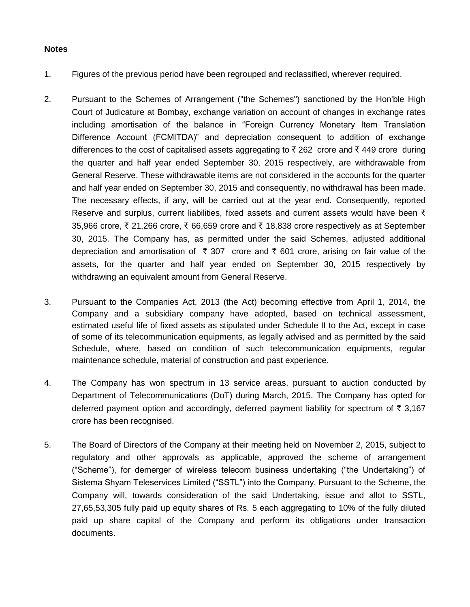## **Notes**

- 1. Figures of the previous period have been regrouped and reclassified, wherever required.
- 2. Pursuant to the Schemes of Arrangement ("the Schemes") sanctioned by the Hon'ble High Court of Judicature at Bombay, exchange variation on account of changes in exchange rates including amortisation of the balance in "Foreign Currency Monetary Item Translation Difference Account (FCMITDA)" and depreciation consequent to addition of exchange differences to the cost of capitalised assets aggregating to  $\bar{\tau}$  262 crore and  $\bar{\tau}$  449 crore during the quarter and half year ended September 30, 2015 respectively, are withdrawable from General Reserve. These withdrawable items are not considered in the accounts for the quarter and half year ended on September 30, 2015 and consequently, no withdrawal has been made. The necessary effects, if any, will be carried out at the year end. Consequently, reported Reserve and surplus, current liabilities, fixed assets and current assets would have been  $\bar{\tau}$ 35,966 crore,  $\bar{\tau}$  21,266 crore,  $\bar{\tau}$  66,659 crore and  $\bar{\tau}$  18,838 crore respectively as at September 30, 2015. The Company has, as permitted under the said Schemes, adjusted additional depreciation and amortisation of  $\bar{\tau}$  307 crore and  $\bar{\tau}$  601 crore, arising on fair value of the assets, for the quarter and half year ended on September 30, 2015 respectively by withdrawing an equivalent amount from General Reserve.
- 3. Pursuant to the Companies Act, 2013 (the Act) becoming effective from April 1, 2014, the Company and a subsidiary company have adopted, based on technical assessment, estimated useful life of fixed assets as stipulated under Schedule II to the Act, except in case of some of its telecommunication equipments, as legally advised and as permitted by the said Schedule, where, based on condition of such telecommunication equipments, regular maintenance schedule, material of construction and past experience.
- 4. The Company has won spectrum in 13 service areas, pursuant to auction conducted by Department of Telecommunications (DoT) during March, 2015. The Company has opted for deferred payment option and accordingly, deferred payment liability for spectrum of  $\bar{\tau}$  3,167 crore has been recognised.
- 5. The Board of Directors of the Company at their meeting held on November 2, 2015, subject to regulatory and other approvals as applicable, approved the scheme of arrangement ("Scheme"), for demerger of wireless telecom business undertaking ("the Undertaking") of Sistema Shyam Teleservices Limited ("SSTL") into the Company. Pursuant to the Scheme, the Company will, towards consideration of the said Undertaking, issue and allot to SSTL, 27,65,53,305 fully paid up equity shares of Rs. 5 each aggregating to 10% of the fully diluted paid up share capital of the Company and perform its obligations under transaction documents.